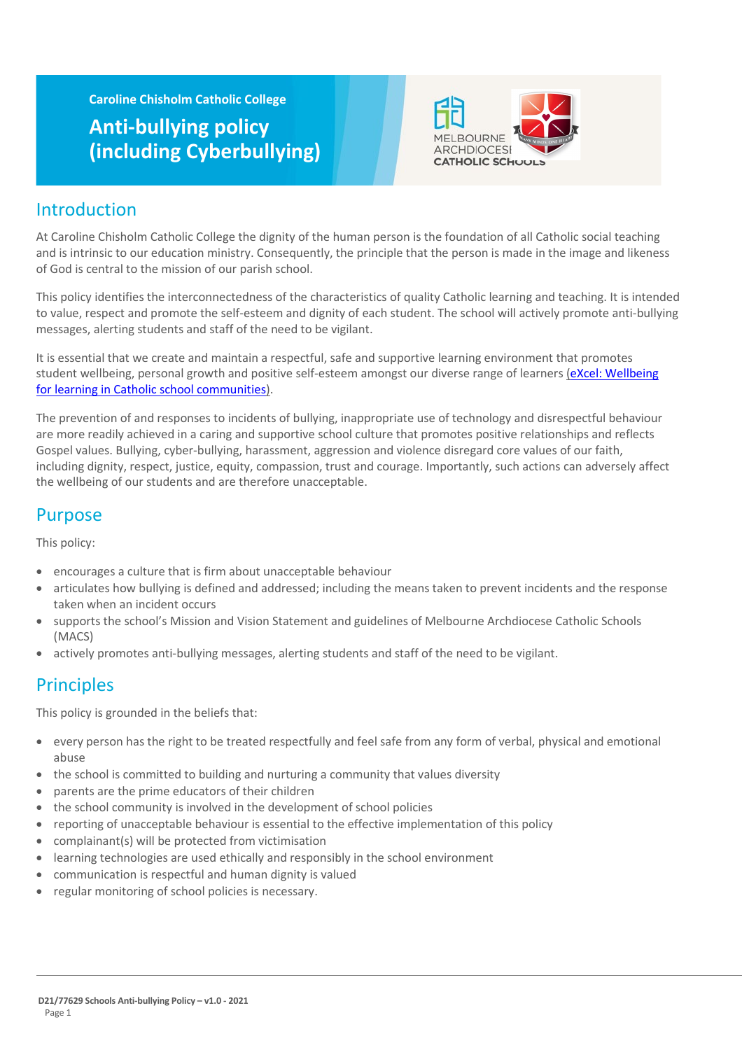**Caroline Chisholm Catholic College**

# **Anti-bullying policy (including Cyberbullying)**



# Introduction

At Caroline Chisholm Catholic College the dignity of the human person is the foundation of all Catholic social teaching and is intrinsic to our education ministry. Consequently, the principle that the person is made in the image and likeness of God is central to the mission of our parish school.

This policy identifies the interconnectedness of the characteristics of quality Catholic learning and teaching. It is intended to value, respect and promote the self-esteem and dignity of each student. The school will actively promote anti-bullying messages, alerting students and staff of the need to be vigilant.

It is essential that we create and maintain a respectful, safe and supportive learning environment that promotes student wellbeing, personal growth and positive self-esteem amongst our diverse range of learners (eXcel: Wellbeing [for learning in Catholic school communities\)](https://cevn.cecv.catholic.edu.au/Melb/Student-Support/Student-Wellbeing/eXcel#excel:-wellbeing-for-learning-in-catholic-school-communities).

The prevention of and responses to incidents of bullying, inappropriate use of technology and disrespectful behaviour are more readily achieved in a caring and supportive school culture that promotes positive relationships and reflects Gospel values. Bullying, cyber-bullying, harassment, aggression and violence disregard core values of our faith, including dignity, respect, justice, equity, compassion, trust and courage. Importantly, such actions can adversely affect the wellbeing of our students and are therefore unacceptable.

# Purpose

This policy:

- encourages a culture that is firm about unacceptable behaviour
- articulates how bullying is defined and addressed; including the means taken to prevent incidents and the response taken when an incident occurs
- supports the school's Mission and Vision Statement and guidelines of Melbourne Archdiocese Catholic Schools (MACS)
- actively promotes anti-bullying messages, alerting students and staff of the need to be vigilant.

# **Principles**

This policy is grounded in the beliefs that:

- every person has the right to be treated respectfully and feel safe from any form of verbal, physical and emotional abuse
- the school is committed to building and nurturing a community that values diversity
- parents are the prime educators of their children
- the school community is involved in the development of school policies
- reporting of unacceptable behaviour is essential to the effective implementation of this policy
- complainant(s) will be protected from victimisation
- learning technologies are used ethically and responsibly in the school environment
- communication is respectful and human dignity is valued
- regular monitoring of school policies is necessary.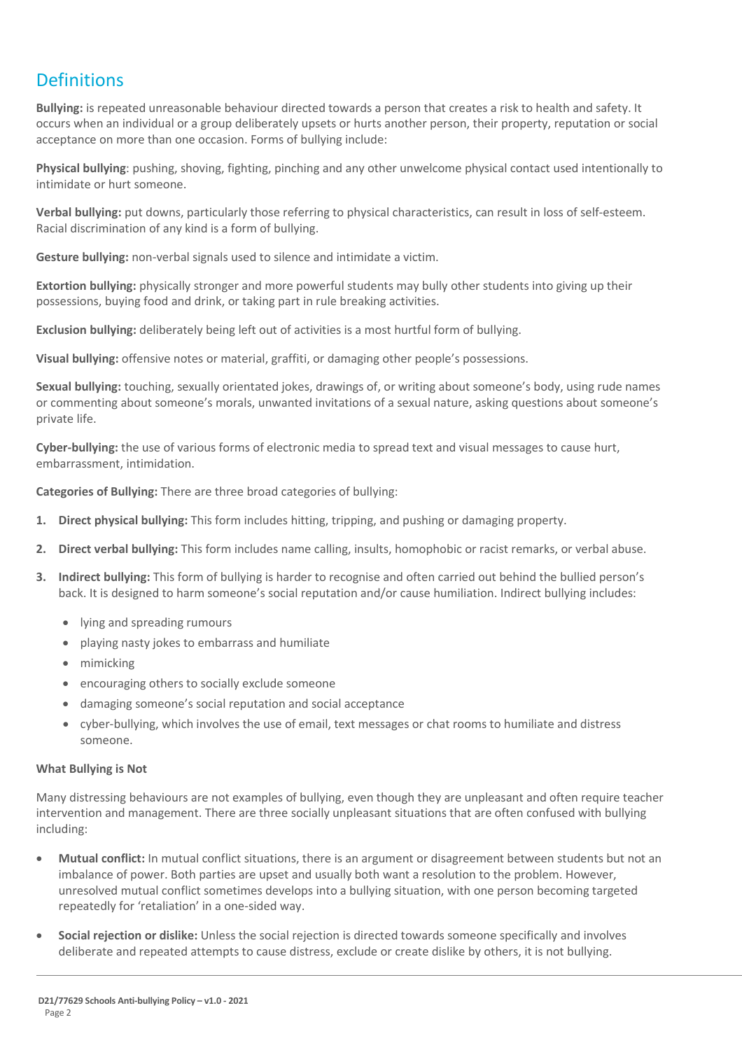# **Definitions**

**Bullying:** is repeated unreasonable behaviour directed towards a person that creates a risk to health and safety. It occurs when an individual or a group deliberately upsets or hurts another person, their property, reputation or social acceptance on more than one occasion. Forms of bullying include:

**Physical bullying**: pushing, shoving, fighting, pinching and any other unwelcome physical contact used intentionally to intimidate or hurt someone.

**Verbal bullying:** put downs, particularly those referring to physical characteristics, can result in loss of self-esteem. Racial discrimination of any kind is a form of bullying.

**Gesture bullying:** non-verbal signals used to silence and intimidate a victim.

**Extortion bullying:** physically stronger and more powerful students may bully other students into giving up their possessions, buying food and drink, or taking part in rule breaking activities.

**Exclusion bullying:** deliberately being left out of activities is a most hurtful form of bullying.

**Visual bullying:** offensive notes or material, graffiti, or damaging other people's possessions.

**Sexual bullying:** touching, sexually orientated jokes, drawings of, or writing about someone's body, using rude names or commenting about someone's morals, unwanted invitations of a sexual nature, asking questions about someone's private life.

**Cyber-bullying:** the use of various forms of electronic media to spread text and visual messages to cause hurt, embarrassment, intimidation.

**Categories of Bullying:** There are three broad categories of bullying:

- **1. Direct physical bullying:** This form includes hitting, tripping, and pushing or damaging property.
- **2. Direct verbal bullying:** This form includes name calling, insults, homophobic or racist remarks, or verbal abuse.
- **3. Indirect bullying:** This form of bullying is harder to recognise and often carried out behind the bullied person's back. It is designed to harm someone's social reputation and/or cause humiliation. Indirect bullying includes:
	- lying and spreading rumours
	- playing nasty jokes to embarrass and humiliate
	- mimicking
	- encouraging others to socially exclude someone
	- damaging someone's social reputation and social acceptance
	- cyber-bullying, which involves the use of email, text messages or chat rooms to humiliate and distress someone.

### **What Bullying is Not**

Many distressing behaviours are not examples of bullying, even though they are unpleasant and often require teacher intervention and management. There are three socially unpleasant situations that are often confused with bullying including:

- **Mutual conflict:** In mutual conflict situations, there is an argument or disagreement between students but not an imbalance of power. Both parties are upset and usually both want a resolution to the problem. However, unresolved mutual conflict sometimes develops into a bullying situation, with one person becoming targeted repeatedly for 'retaliation' in a one-sided way.
- **Social rejection or dislike:** Unless the social rejection is directed towards someone specifically and involves deliberate and repeated attempts to cause distress, exclude or create dislike by others, it is not bullying.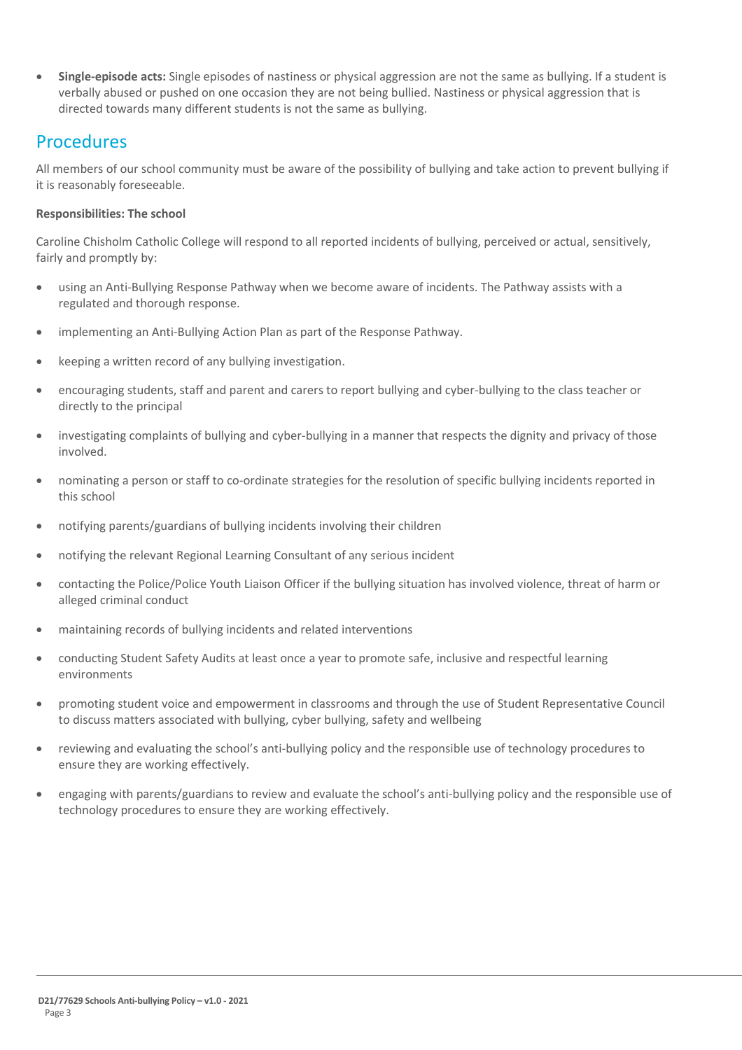• **Single-episode acts:** Single episodes of nastiness or physical aggression are not the same as bullying. If a student is verbally abused or pushed on one occasion they are not being bullied. Nastiness or physical aggression that is directed towards many different students is not the same as bullying.

## Procedures

All members of our school community must be aware of the possibility of bullying and take action to prevent bullying if it is reasonably foreseeable.

## **Responsibilities: The school**

Caroline Chisholm Catholic College will respond to all reported incidents of bullying, perceived or actual, sensitively, fairly and promptly by:

- using an Anti-Bullying Response Pathway when we become aware of incidents. The Pathway assists with a regulated and thorough response.
- implementing an Anti-Bullying Action Plan as part of the Response Pathway.
- keeping a written record of any bullying investigation.
- encouraging students, staff and parent and carers to report bullying and cyber-bullying to the class teacher or directly to the principal
- investigating complaints of bullying and cyber-bullying in a manner that respects the dignity and privacy of those involved.
- nominating a person or staff to co-ordinate strategies for the resolution of specific bullying incidents reported in this school
- notifying parents/guardians of bullying incidents involving their children
- notifying the relevant Regional Learning Consultant of any serious incident
- contacting the Police/Police Youth Liaison Officer if the bullying situation has involved violence, threat of harm or alleged criminal conduct
- maintaining records of bullying incidents and related interventions
- conducting Student Safety Audits at least once a year to promote safe, inclusive and respectful learning environments
- promoting student voice and empowerment in classrooms and through the use of Student Representative Council to discuss matters associated with bullying, cyber bullying, safety and wellbeing
- reviewing and evaluating the school's anti-bullying policy and the responsible use of technology procedures to ensure they are working effectively.
- engaging with parents/guardians to review and evaluate the school's anti-bullying policy and the responsible use of technology procedures to ensure they are working effectively.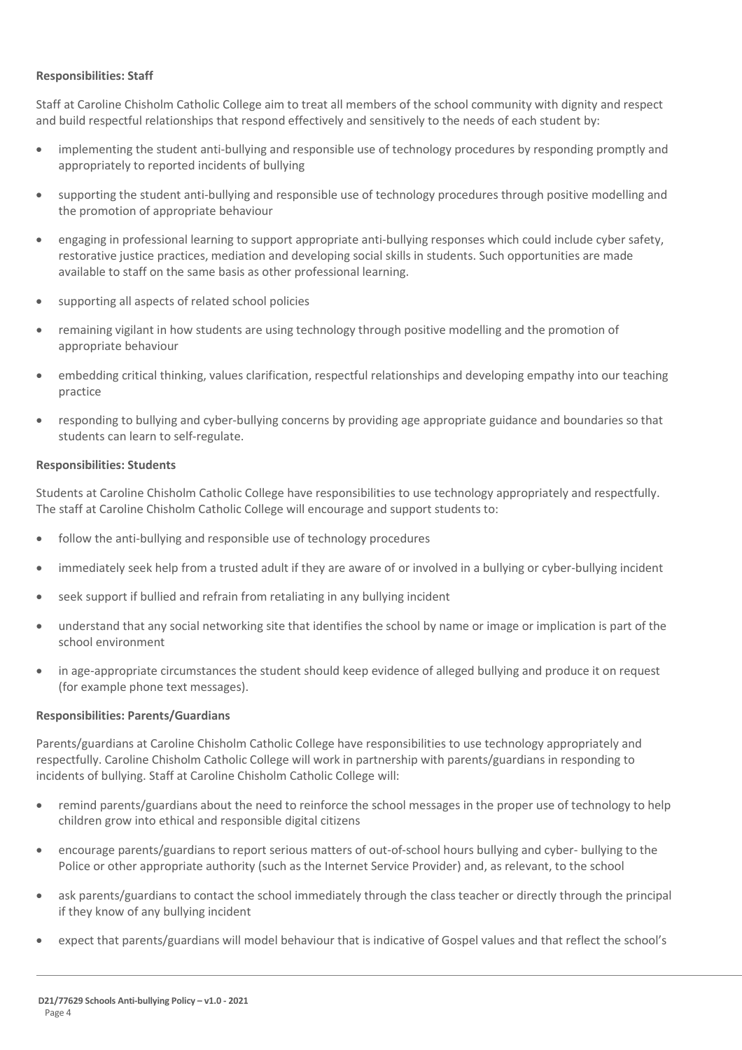### **Responsibilities: Staff**

Staff at Caroline Chisholm Catholic College aim to treat all members of the school community with dignity and respect and build respectful relationships that respond effectively and sensitively to the needs of each student by:

- implementing the student anti-bullying and responsible use of technology procedures by responding promptly and appropriately to reported incidents of bullying
- supporting the student anti-bullying and responsible use of technology procedures through positive modelling and the promotion of appropriate behaviour
- engaging in professional learning to support appropriate anti-bullying responses which could include cyber safety, restorative justice practices, mediation and developing social skills in students. Such opportunities are made available to staff on the same basis as other professional learning.
- supporting all aspects of related school policies
- remaining vigilant in how students are using technology through positive modelling and the promotion of appropriate behaviour
- embedding critical thinking, values clarification, respectful relationships and developing empathy into our teaching practice
- responding to bullying and cyber-bullying concerns by providing age appropriate guidance and boundaries so that students can learn to self-regulate.

### **Responsibilities: Students**

Students at Caroline Chisholm Catholic College have responsibilities to use technology appropriately and respectfully. The staff at Caroline Chisholm Catholic College will encourage and support students to:

- follow the anti-bullying and responsible use of technology procedures
- immediately seek help from a trusted adult if they are aware of or involved in a bullying or cyber-bullying incident
- seek support if bullied and refrain from retaliating in any bullying incident
- understand that any social networking site that identifies the school by name or image or implication is part of the school environment
- in age-appropriate circumstances the student should keep evidence of alleged bullying and produce it on request (for example phone text messages).

## **Responsibilities: Parents/Guardians**

Parents/guardians at Caroline Chisholm Catholic College have responsibilities to use technology appropriately and respectfully. Caroline Chisholm Catholic College will work in partnership with parents/guardians in responding to incidents of bullying. Staff at Caroline Chisholm Catholic College will:

- remind parents/guardians about the need to reinforce the school messages in the proper use of technology to help children grow into ethical and responsible digital citizens
- encourage parents/guardians to report serious matters of out-of-school hours bullying and cyber- bullying to the Police or other appropriate authority (such as the Internet Service Provider) and, as relevant, to the school
- ask parents/guardians to contact the school immediately through the class teacher or directly through the principal if they know of any bullying incident
- expect that parents/guardians will model behaviour that is indicative of Gospel values and that reflect the school's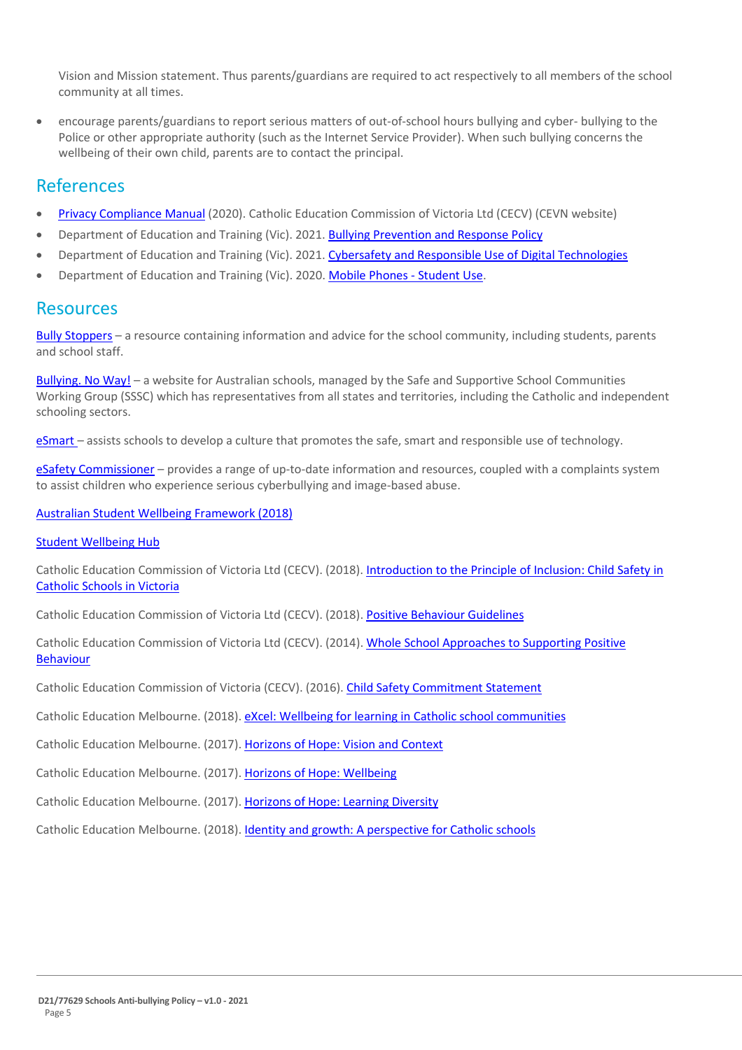Vision and Mission statement. Thus parents/guardians are required to act respectively to all members of the school community at all times.

• encourage parents/guardians to report serious matters of out-of-school hours bullying and cyber- bullying to the Police or other appropriate authority (such as the Internet Service Provider). When such bullying concerns the wellbeing of their own child, parents are to contact the principal.

## References

- [Privacy Compliance Manual](https://cevn.cecv.catholic.edu.au/Melb/Document-File/Polices-Compliance-and-Legal/Privacy/Privacy-Compliance-Manual.aspx) (2020). Catholic Education Commission of Victoria Ltd (CECV) (CEVN website)
- Department of Education and Training (Vic). 2021[. Bullying Prevention and Response Policy](https://www2.education.vic.gov.au/pal/bullying-prevention-response/policy)
- Department of Education and Training (Vic). 2021[. Cybersafety and Responsible Use of Digital Technologies](https://www2.education.vic.gov.au/pal/cybersafety/policy)
- Department of Education and Training (Vic). 2020[. Mobile Phones -](https://www2.education.vic.gov.au/pal/students-using-mobile-phones/policy) Student Use.

## Resources

Bully [Stoppers](https://www.education.vic.gov.au/about/programs/bullystoppers/Pages/default.aspx) – a resource containing information and advice for the school community, including students, parents and school staff.

[Bullying. No](https://bullyingnoway.gov.au/) Way! – a website for Australian schools, managed by the Safe and Supportive School Communities Working Group (SSSC) which has representatives from all states and territories, including the Catholic and independent schooling sectors.

[eSmart](https://www.education.vic.gov.au/about/programs/bullystoppers/Pages/esmart.aspx) – assists schools to develop a culture that promotes the safe, smart and responsible use of technology.

eSafety [Commissioner](https://www.esafety.gov.au/) – provides a range of up-to-date information and resources, coupled with a complaints system to assist children who experience serious cyberbullying and image-based abuse.

[Australian Student Wellbeing Framework \(2018\)](https://www.studentwellbeinghub.edu.au/docs/default-source/aswf_booklet-pdf.pdf)

[Student Wellbeing Hub](https://www.studentwellbeinghub.edu.au/)

Catholic Education Commission of Victoria Ltd (CECV). (2018). [Introduction to the Principle of Inclusion: Child Safety in](https://cevn.cecv.catholic.edu.au/childsafety/standards.aspx)  [Catholic Schools in Victoria](https://cevn.cecv.catholic.edu.au/childsafety/standards.aspx)

Catholic Education Commission of Victoria Ltd (CECV). (2018). [Positive Behaviour Guidelines](http://www.cecv.catholic.edu.au/getmedia/bc1d235d-9a98-4bb4-b3ac-84b50fa7c639/CECV-Positive-Behaviour-Guidelines_FINAL2.aspx?ext=.pdf)

Catholic Education Commission of Victoria Ltd (CECV). (2014). [Whole School Approaches to Supporting Positive](http://www.cecv.catholic.edu.au/getmedia/9a82dbf1-965d-41c7-922c-ea5dd86cc52a/Positive-Student-Behaviour.aspx?ext=.pdf)  [Behaviour](http://www.cecv.catholic.edu.au/getmedia/9a82dbf1-965d-41c7-922c-ea5dd86cc52a/Positive-Student-Behaviour.aspx?ext=.pdf)

Catholic Education Commission of Victoria (CECV). (2016). [Child Safety Commitment Statement](https://www.cem.edu.au/CatholicEducationMelbourne/media/Documentation/Documents/Child-Safety-Commitment-Statement.pdf)

Catholic Education Melbourne. (2018). [eXcel: Wellbeing for learning in Catholic school communities](https://www.cem.edu.au/Our-Schools/Curriculum-Learning-Programs/Student-Wellbeing/eXcel.aspx)

Catholic Education Melbourne. (2017). [Horizons of Hope: Vision and Context](https://www.cem.edu.au/Our-Schools/Curriculum-Learning-Programs/Horizons-of-Hope/Vision-Context.aspx)

Catholic Education Melbourne. (2017). [Horizons of Hope: Wellbeing](https://www.cem.edu.au/Our-Schools/Curriculum-Learning-Programs/Student-Wellbeing.aspx)

Catholic Education Melbourne. (2017). [Horizons of Hope: Learning Diversity](https://www.cem.edu.au/Our-Schools/Curriculum-Learning-Programs/Horizons-of-Hope/Learning-Diversity.aspx)

Catholic Education Melbourne. (2018). [Identity and growth: A perspective for Catholic schools](https://cevn.cecv.catholic.edu.au/ReligiousEducation.aspx?id=8589945160)